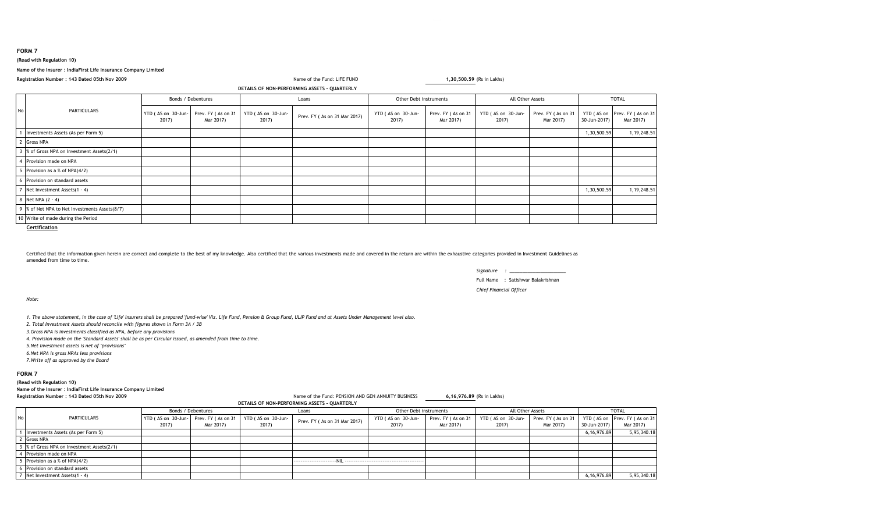**FORM 7**

# **(Read with Regulation 10)**

**Name of the Insurer : IndiaFirst Life Insurance Company Limited**

**Registration Number : 143 Dated 05th Nov 2009**

### **DETAILS OF NON-PERFORMING ASSETS - QUARTERLY**

Name of the Fund: LIFE FUND

**1,30,500.59** (Rs in Lakhs)

|  | <b>PARTICULARS</b>                            | Bonds / Debentures          |                                 |                             | Loans                        |                             | Other Debt instruments          |                             | All Other Assets                |              | <b>TOTAL</b>                               |  |
|--|-----------------------------------------------|-----------------------------|---------------------------------|-----------------------------|------------------------------|-----------------------------|---------------------------------|-----------------------------|---------------------------------|--------------|--------------------------------------------|--|
|  |                                               | YTD (AS on 30-Jun-<br>2017) | Prev. FY (As on 31<br>Mar 2017) | YTD (AS on 30-Jun-<br>2017) | Prev. FY (As on 31 Mar 2017) | YTD (AS on 30-Jun-<br>2017) | Prev. FY (As on 31<br>Mar 2017) | YTD (AS on 30-Jun-<br>2017) | Prev. FY (As on 31<br>Mar 2017) | 30-Jun-2017) | YTD (AS on Prev. FY (As on 31<br>Mar 2017) |  |
|  | Investments Assets (As per Form 5)            |                             |                                 |                             |                              |                             |                                 |                             |                                 | 1,30,500.59  | 1, 19, 248.51                              |  |
|  | <b>Gross NPA</b>                              |                             |                                 |                             |                              |                             |                                 |                             |                                 |              |                                            |  |
|  | % of Gross NPA on Investment Assets(2/1)      |                             |                                 |                             |                              |                             |                                 |                             |                                 |              |                                            |  |
|  | 4 Provision made on NPA                       |                             |                                 |                             |                              |                             |                                 |                             |                                 |              |                                            |  |
|  | Provision as a % of NPA(4/2)                  |                             |                                 |                             |                              |                             |                                 |                             |                                 |              |                                            |  |
|  | 6 Provision on standard assets                |                             |                                 |                             |                              |                             |                                 |                             |                                 |              |                                            |  |
|  | Net Investment Assets(1 - 4)                  |                             |                                 |                             |                              |                             |                                 |                             |                                 | 1,30,500.59  | 1,19,248.51                                |  |
|  | 8 Net NPA (2 - 4)                             |                             |                                 |                             |                              |                             |                                 |                             |                                 |              |                                            |  |
|  | 9 % of Net NPA to Net Investments Assets(8/7) |                             |                                 |                             |                              |                             |                                 |                             |                                 |              |                                            |  |
|  | 10 Write of made during the Period            |                             |                                 |                             |                              |                             |                                 |                             |                                 |              |                                            |  |

**Certification**

Certified that the information given herein are correct and complete to the best of my knowledge. Also certified that the various investments made and covered in the return are within the exhaustive categories provided in amended from time to time.

> *Signature : \_\_\_\_\_\_\_\_\_\_\_\_\_\_\_\_\_\_\_\_\_\_*Full Name : Satishwar Balakrishnan*Chief Financial Officer*

*Note:*

*1. The above statement, in the case of 'Life' Insurers shall be prepared 'fund-wise' Viz. Life Fund, Pension & Group Fund, ULIP Fund and at Assets Under Management level also.*

*2. Total Investment Assets should reconcile with figures shown in Form 3A / 3B*

*3.Gross NPA is investments classified as NPA, before any provisions*

*4. Provision made on the 'Standard Assets' shall be as per Circular issued, as amended from time to time.*

*5.Net Investment assets is net of ''provisions''*

*6.Net NPA is gross NPAs less provisions*

*7.Write off as approved by the Board*

**FORM 7**

**(Read with Regulation 10)**

**Name of the Insurer : IndiaFirst Life Insurance Company Limited**

### **Registration Number : 143 Dated 05th Nov 2009**

Name of the Fund: PENSION AND GEN ANNUITY BUSINESS **6,16,976.89** (Rs in Lakhs)

|  | PERFORMING ASSETS - OLIARTERI Y |  |
|--|---------------------------------|--|

|           |                                            |                    |                                       |                    | DETAILS OF NON-PERFORMING ASSETS - QUARTERLY |                        |                    |                    |                    |              |                               |
|-----------|--------------------------------------------|--------------------|---------------------------------------|--------------------|----------------------------------------------|------------------------|--------------------|--------------------|--------------------|--------------|-------------------------------|
|           |                                            | Bonds / Debentures |                                       | Loans              |                                              | Other Debt instruments |                    | All Other Assets   |                    | <b>TOTAL</b> |                               |
| <b>No</b> | PARTICULARS                                |                    | YTD (AS on 30-Jun- Prev. FY (As on 31 | YTD (AS on 30-Jun- | Prev. FY (As on 31 Mar 2017)                 | YTD (AS on 30-Jun-     | Prev. FY (As on 31 | YTD (AS on 30-Jun- | Prev. FY (As on 31 |              | YTD (AS on Prev. FY (As on 31 |
|           |                                            | 2017)              | Mar 2017)                             | 2017)              |                                              | 2017)                  | Mar 2017)          | 2017)              | Mar 2017)          | 30-Jun-2017) | Mar 2017)                     |
|           | Investments Assets (As per Form 5)         |                    |                                       |                    |                                              |                        |                    |                    |                    | 6,16,976.89  | 5,95,340.18                   |
|           | 2 Gross NPA                                |                    |                                       |                    |                                              |                        |                    |                    |                    |              |                               |
|           | 3 % of Gross NPA on Investment Assets(2/1) |                    |                                       |                    |                                              |                        |                    |                    |                    |              |                               |
|           | 4 Provision made on NPA                    |                    |                                       |                    |                                              |                        |                    |                    |                    |              |                               |
|           | The Provision as a % of NPA(4/2)           |                    |                                       |                    |                                              |                        |                    |                    |                    |              |                               |
|           | Provision on standard assets               |                    |                                       |                    |                                              |                        |                    |                    |                    |              |                               |
|           | 7 Net Investment Assets(1 - 4)             |                    |                                       |                    |                                              |                        |                    |                    |                    | 6,16,976.89  | 5,95,340.18                   |

<sup>7</sup> Net Investment Assets(1 - 4) 6,16,976.89 5,95,340.18